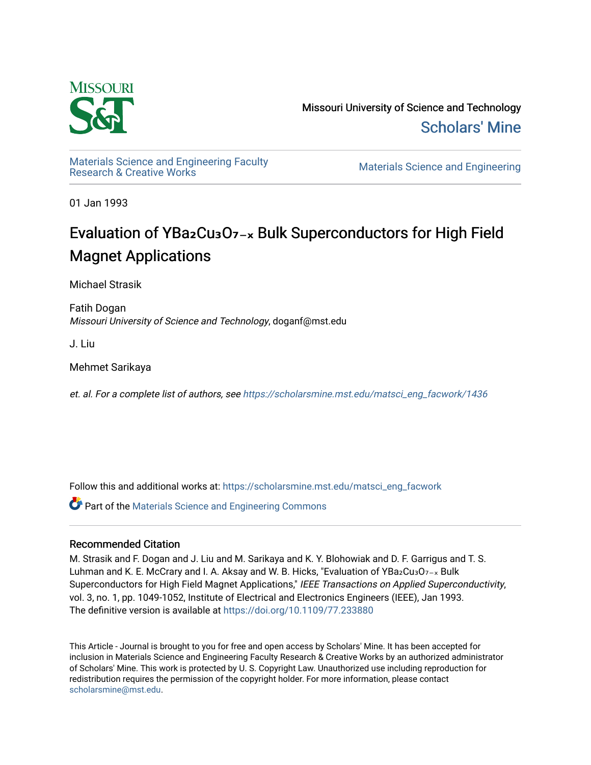

Missouri University of Science and Technology [Scholars' Mine](https://scholarsmine.mst.edu/) 

Materials Science and Engineering Faculty<br>Research & Creative Works

Materials Science and Engineering

01 Jan 1993

# Evaluation of YBa2Cu<sub>3</sub>O<sub>7-x</sub> Bulk Superconductors for High Field Magnet Applications

Michael Strasik

Fatih Dogan Missouri University of Science and Technology, doganf@mst.edu

J. Liu

Mehmet Sarikaya

et. al. For a complete list of authors, see [https://scholarsmine.mst.edu/matsci\\_eng\\_facwork/1436](https://scholarsmine.mst.edu/matsci_eng_facwork/1436) 

Follow this and additional works at: [https://scholarsmine.mst.edu/matsci\\_eng\\_facwork](https://scholarsmine.mst.edu/matsci_eng_facwork?utm_source=scholarsmine.mst.edu%2Fmatsci_eng_facwork%2F1436&utm_medium=PDF&utm_campaign=PDFCoverPages) 

Part of the [Materials Science and Engineering Commons](http://network.bepress.com/hgg/discipline/285?utm_source=scholarsmine.mst.edu%2Fmatsci_eng_facwork%2F1436&utm_medium=PDF&utm_campaign=PDFCoverPages) 

# Recommended Citation

M. Strasik and F. Dogan and J. Liu and M. Sarikaya and K. Y. Blohowiak and D. F. Garrigus and T. S. Luhman and K. E. McCrary and I. A. Aksay and W. B. Hicks, "Evaluation of YBa2Cu3O7-x Bulk Superconductors for High Field Magnet Applications," IEEE Transactions on Applied Superconductivity, vol. 3, no. 1, pp. 1049-1052, Institute of Electrical and Electronics Engineers (IEEE), Jan 1993. The definitive version is available at <https://doi.org/10.1109/77.233880>

This Article - Journal is brought to you for free and open access by Scholars' Mine. It has been accepted for inclusion in Materials Science and Engineering Faculty Research & Creative Works by an authorized administrator of Scholars' Mine. This work is protected by U. S. Copyright Law. Unauthorized use including reproduction for redistribution requires the permission of the copyright holder. For more information, please contact [scholarsmine@mst.edu.](mailto:scholarsmine@mst.edu)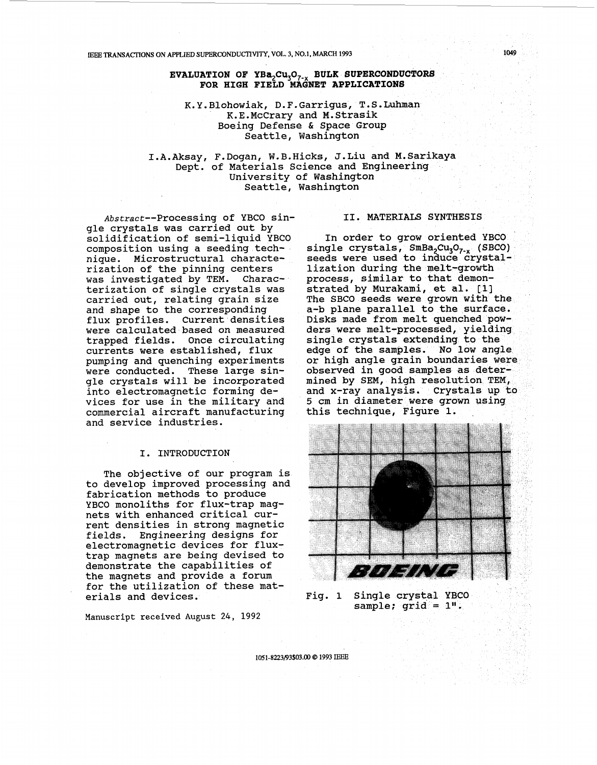#### IEEE **TRANSACTIONS ON APPLIED SVPERCONDUCTIVI'IY, VOL. 3, N0.1,** MARCH **1993 1049**

## **EVALUATION OF YBa,Cu,O,\_, BULK SUPERCONDUCTORS FOR HIGH FIELD MAGNET APPLICATIONS**

K.Y.Blohowiak, D.F.Garrigus, T.S.Luhman K.E.McCrary and M.Strasik Boeing Defense & Space Group Seattle, Washington

I.A.Aksay, F.Dogan, W.B.Hicks, J.Liu and M.Sarikaya University of Washington Seattle, Washington Dept. of Materials Science and Engineering

Abstract--Processing of YBCO single crystals was carried out by solidification of semi-liquid YBCO composition using a seeding technique. Microstructural characterization of the pinning centers was investigated by TEM. Characterization of single crystals was carried out, relating grain size and shape to the corresponding flux profiles. Current densities were calculated based on measured trapped fields. Once circulating currents were established, flux pumping and quenching experiments were conducted. These large single crystals will be incorporated into electromagnetic forming devices for use in the military and commercial aircraft manufacturing and service industries.

#### I. INTRODUCTION

The objective of our program is to develop improved processing and fabrication methods to produce YBCO monoliths for flux-trap magnets with enhanced critical current densities in strong magnetic fields. Engineering designs for electromagnetic devices for fluxtrap magnets are being devised to demonstrate the capabilities of the magnets and provide a forum for the utilization of these materials and devices.

**Manuscript received August 24, 1992** 

### 11. MATERIALS SYNTHESIS

In order to grow oriented YBCO. single crystals,  $SmBa_2Cu_3O_{7-x}$  (SBCO) seeds were used to induce crystallization during the melt-growth process, similar to that demonstrated by Murakami, et al. **[l]**  The SBCO seeds were grown with the a-b plane parallel to the surface. Disks made from melt quenched powders were melt-processed, yielding single crystals extending to the edge of the samples. No low angle or high angle grain observed in good samples as determined by SEM, high resolution TEM, and x-ray analysis. 5 cm in diameter were grown us this technique, Figure 1. .



Fig. 1 Single crystal YBCO<br>sample; grid = 1".

1051-8223/93\$03.00 @ 1993 IEEE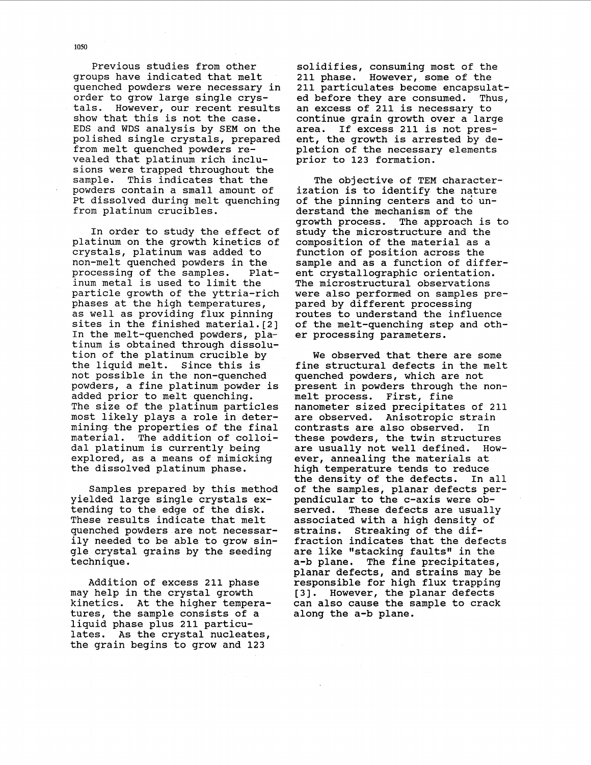Previous studies from other groups have indicated that melt quenched powders were necessary in order to grow large single crystals. However, our recent results show that this is not the case. EDS and WDS analysis by SEM on the polished single crystals, prepared from melt quenched powders revealed that platinum rich inclusions were trapped throughout the<br>sample. This indicates that the This indicates that the powders contain a small amount of Pt dissolved during melt quenching from platinum crucibles.

In order to study the effect of platinum on the growth kinetics of crystals, platinum was added to non-melt quenched powders in the<br>processing of the samples. Platprocessing of the samples. inum metal is used to limit the particle growth of the yttria-rich phases at the high temperatures, as well as providing flux pinning sites in the finished material.[2] In the melt-quenched powders, platinum is obtained through dissolution of the platinum crucible by the liquid melt. Since this is not possible in the non-quenched powders, a fine platinum powder is added prior to melt quenching. The size of the platinum particles most likely plays a role in determining the properties of the final material. The addition of colloidal platinum is currently being explored, as a means of mimicking the dissolved platinum phase.

Samples prepared by this method yielded large single crystals extending to the edge of the disk. These results indicate that melt quenched powders are not necessarily needed to be able to grow single crystal grains by the seeding technique.

Addition of excess 211 phase may help in the crystal growth kinetics. At the higher temperatures, the sample consists of a liquid phase plus 211 particulates. As the crystal nucleates, the grain begins to grow and 123

solidifies, consuming most of the 211 phase. However, some of the 211 particulates become encapsulat-<br>ed before they are consumed. Thus, ed before they are consumed. an excess of **211** is necessary to continue grain growth over a large area. If excess 211 is not present, the growth is arrested by depletion of the necessary elements prior to 123 formation.

The objective of TEM characterization is to identify the nature of the pinning centers and to understand the mechanism of the<br>growth process. The approach The approach is to study the microstructure and the composition of the material as a function of position across the sample and as a function of different crystallographic orientation. The microstructural observations were also performed on samples prepared by different processing routes to understand the influence of the melt-quenching step and other processing parameters.

We observed that there are some fine structural defects in the melt quenched powders, which are not present in powders through the nonmelt process. First, fine nanometer sized precipitates of 211 are observed. Anisotropic strain contrasts are also observed. In these powders, the twin structures are usually not well defined. However, annealing the materials at high temperature tends to reduce the density of the defects. In all of the samples, planar defects perpendicular to the c-axis were observed. These defects are usually associated with a high density of strains. Streaking of the diffraction indicates that the defects are like "stacking faults" in the a-b plane. The fine precipitates, planar defects, and strains may be responsible for high flux trapping [3]. However, the planar defects can also cause the sample to crack along the a-b plane.

**1050**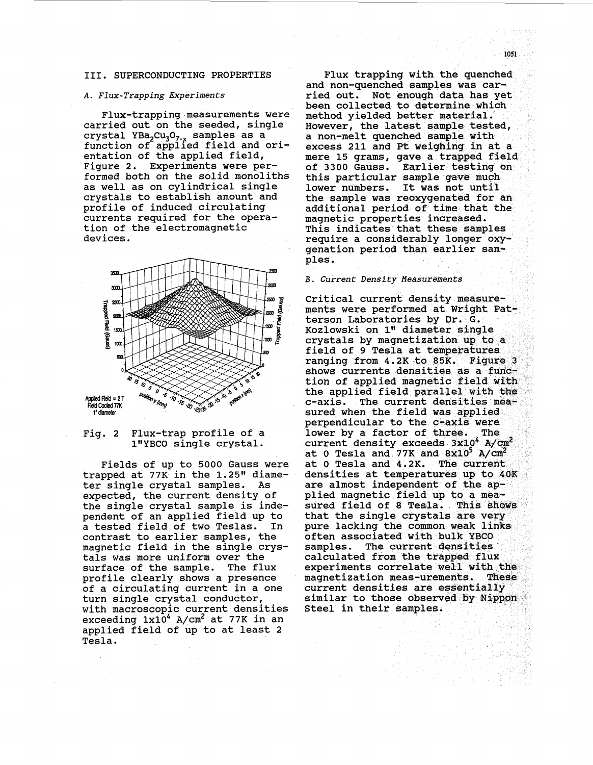#### 111. SUPERCONDUCTING PROPERTIES

#### *A. Flux-Trapping Experiments*

Flux-trapping measurements were carried out on the seeded, single crystal YBa<sub>2</sub>Cu<sub>3</sub>O<sub>7-x</sub> samples as a function of applied field and orientation of the applied field, Figure **2.** Experiments were performed both on the solid monoliths as well as on cylindrical single crystals to establish amount and profile of induced circulating currents required for the operation of the electromagnetic devices.



### Fig. **2** Flux-trap profile of a 1'IYBCO single crystal.

Fields of up to 5000 Gauss were trapped at 77K in the 1.25" diameter single crystal samples. As expected, the current density of the single crystal sample is independent of an applied field up to<br>a tested field of two Teslas. In a tested field of two Teslas. contrast to earlier samples, the magnetic field in the single crystals was more uniform over the surface of the sample. The flux profile clearly shows a presence of a circulating current in a one turn single crystal conductor, with macroscopic current densities exceeding  $1x10^4$  A/cm<sup>2</sup> at 77K in an applied field of up to at least **2**  Tesla.

Flux trapping with the quenched and non-quenched samples was carried out. Not enough data has yet been collected to determine which method yielded better material. However, the latest sample tested, a non-melt quenched sample with excess 211 and Pt weighing in at a mere 15 grams, gave a trapped field<br>of 3300 Gauss. Earlier testing on this particular sample gave much<br>lower numbers. It was not until lower numbers. the sample was reoxygenated for an additional period of time that the magnetic properties increased. This indicates that these samples require a considerably longer oxygenation period than earlier samples.

#### *B. Current Density Measurements*

Critical current density measure-<br>ments were performed at Wright Patterson Laboratories by Dr. G. Kozlowski on 1" diameter single crystals by ma field of 9 Tesla at temperatures<br>ranging from 4.2K to 85K. Figure 3 shows currents densities as a function of applied magnetic field with the applied field parallel with the c-axis. The cu sured when the field was applied<br>perpendicular to the c-axis were lower by a factor of three. The current density exc at 0 Tesla and 77K densities at temperatures up to 40K are almost independent of the applied magnetic field up to a mea-<br>sured field of 8 Tesla. This shows that the single crystals are very pure lacking the common weak links often associated with bulk YBCO<br>samples. The current densities The current densities calculated from the trapped flux experiments correlate well with the magnetization meas-These current densities are essentially similar to those observed by Nippon<br>Steel in their samples.